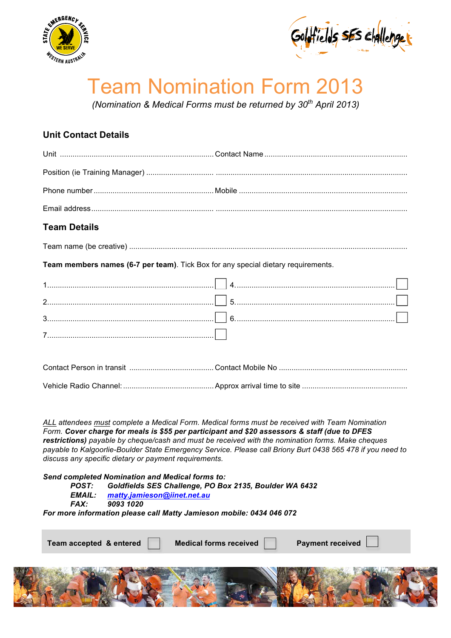



## Team Nomination Form 2013

*(Nomination & Medical Forms must be returned by 30th April 2013)* 

## **Unit Contact Details**

## **Team Details**

Team name (be creative) ....................................................................................................................................

**Team members names (6-7 per team)**. Tick Box for any special dietary requirements.

*ALL attendees must complete a Medical Form. Medical forms must be received with Team Nomination Form. Cover charge for meals is \$55 per participant and \$20 assessors & staff (due to DFES restrictions) payable by cheque/cash and must be received with the nomination forms. Make cheques payable to Kalgoorlie-Boulder State Emergency Service. Please call Briony Burt 0438 565 478 if you need to discuss any specific dietary or payment requirements.* 

*Send completed Nomination and Medical forms to:* 

*POST: Goldfields SES Challenge, PO Box 2135, Boulder WA 6432* 

**Team accepted & entered Medical forms received Payment received** 

- *EMAIL: matty.jamieson@iinet.net.au*
- *FAX: 9093 1020*

*For more information please call Matty Jamieson mobile: 0434 046 072* 

| realii accepted & elitered | <b>INGUICAL IQIIIIS TECEIVEU</b> | $\Gamma$ ayment received $\Gamma$ |  |
|----------------------------|----------------------------------|-----------------------------------|--|
|                            |                                  |                                   |  |
|                            |                                  |                                   |  |
|                            |                                  |                                   |  |
|                            |                                  |                                   |  |
|                            |                                  |                                   |  |

Page 1